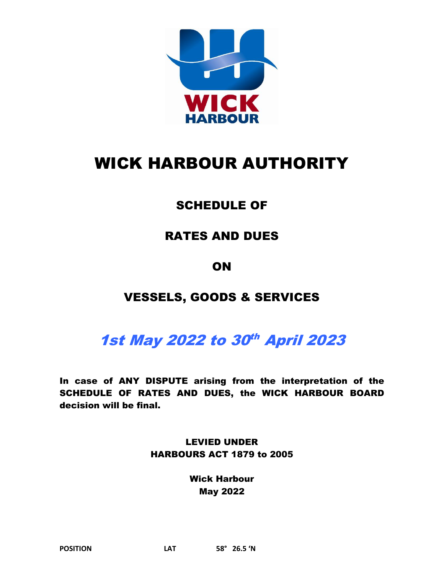

# WICK HARBOUR AUTHORITY

# SCHEDULE OF

# RATES AND DUES

# **ON**

# VESSELS, GOODS & SERVICES

# 1st May 2022 to 30<sup>th</sup> April 2023

In case of ANY DISPUTE arising from the interpretation of the SCHEDULE OF RATES AND DUES, the WICK HARBOUR BOARD decision will be final.

> LEVIED UNDER HARBOURS ACT 1879 to 2005

> > Wick Harbour May 2022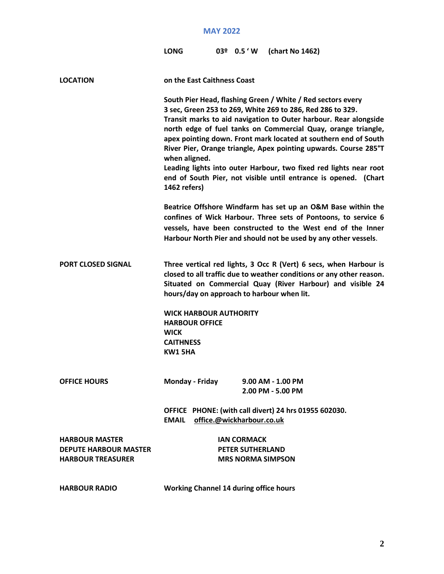| LONG |  |  | 03 <sup>o</sup> 0.5 'W (chart No 1462) |
|------|--|--|----------------------------------------|
|------|--|--|----------------------------------------|

| <b>LOCATION</b>                                                                   | on the East Caithness Coast                                                                                 |                                                                                                                                                                                                                                                                                                                                                                                                                                                                                                                                               |
|-----------------------------------------------------------------------------------|-------------------------------------------------------------------------------------------------------------|-----------------------------------------------------------------------------------------------------------------------------------------------------------------------------------------------------------------------------------------------------------------------------------------------------------------------------------------------------------------------------------------------------------------------------------------------------------------------------------------------------------------------------------------------|
|                                                                                   | when aligned.<br>1462 refers)                                                                               | South Pier Head, flashing Green / White / Red sectors every<br>3 sec, Green 253 to 269, White 269 to 286, Red 286 to 329.<br>Transit marks to aid navigation to Outer harbour. Rear alongside<br>north edge of fuel tanks on Commercial Quay, orange triangle,<br>apex pointing down. Front mark located at southern end of South<br>River Pier, Orange triangle, Apex pointing upwards. Course 285°T<br>Leading lights into outer Harbour, two fixed red lights near root<br>end of South Pier, not visible until entrance is opened. (Chart |
|                                                                                   |                                                                                                             | Beatrice Offshore Windfarm has set up an O&M Base within the<br>confines of Wick Harbour. Three sets of Pontoons, to service 6<br>vessels, have been constructed to the West end of the Inner<br>Harbour North Pier and should not be used by any other vessels.                                                                                                                                                                                                                                                                              |
| <b>PORT CLOSED SIGNAL</b>                                                         | hours/day on approach to harbour when lit.                                                                  | Three vertical red lights, 3 Occ R (Vert) 6 secs, when Harbour is<br>closed to all traffic due to weather conditions or any other reason.<br>Situated on Commercial Quay (River Harbour) and visible 24                                                                                                                                                                                                                                                                                                                                       |
|                                                                                   | <b>WICK HARBOUR AUTHORITY</b><br><b>HARBOUR OFFICE</b><br><b>WICK</b><br><b>CAITHNESS</b><br><b>KW1 5HA</b> |                                                                                                                                                                                                                                                                                                                                                                                                                                                                                                                                               |
| <b>OFFICE HOURS</b>                                                               | Monday - Friday                                                                                             | $9.00$ AM - 1.00 PM<br>2.00 PM - 5.00 PM                                                                                                                                                                                                                                                                                                                                                                                                                                                                                                      |
|                                                                                   | <b>EMAIL</b>                                                                                                | OFFICE PHONE: (with call divert) 24 hrs 01955 602030.<br>office.@wickharbour.co.uk                                                                                                                                                                                                                                                                                                                                                                                                                                                            |
| <b>HARBOUR MASTER</b><br><b>DEPUTE HARBOUR MASTER</b><br><b>HARBOUR TREASURER</b> |                                                                                                             | <b>IAN CORMACK</b><br><b>PETER SUTHERLAND</b><br><b>MRS NORMA SIMPSON</b>                                                                                                                                                                                                                                                                                                                                                                                                                                                                     |
| <b>HARBOUR RADIO</b>                                                              | <b>Working Channel 14 during office hours</b>                                                               |                                                                                                                                                                                                                                                                                                                                                                                                                                                                                                                                               |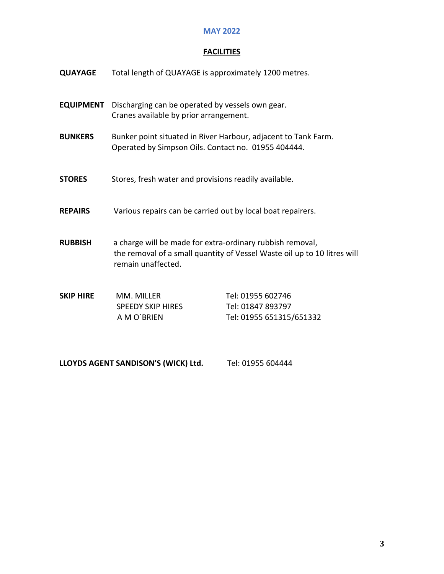# **FACILITIES**

| <b>QUAYAGE</b>   | Total length of QUAYAGE is approximately 1200 metres.                                                                 |                                                                          |  |
|------------------|-----------------------------------------------------------------------------------------------------------------------|--------------------------------------------------------------------------|--|
| <b>EQUIPMENT</b> | Discharging can be operated by vessels own gear.<br>Cranes available by prior arrangement.                            |                                                                          |  |
| <b>BUNKERS</b>   | Bunker point situated in River Harbour, adjacent to Tank Farm.<br>Operated by Simpson Oils. Contact no. 01955 404444. |                                                                          |  |
| <b>STORES</b>    | Stores, fresh water and provisions readily available.                                                                 |                                                                          |  |
| <b>REPAIRS</b>   | Various repairs can be carried out by local boat repairers.                                                           |                                                                          |  |
| <b>RUBBISH</b>   | a charge will be made for extra-ordinary rubbish removal,<br>remain unaffected.                                       | the removal of a small quantity of Vessel Waste oil up to 10 litres will |  |
| <b>SKIP HIRE</b> | MM. MILLER<br><b>SPEEDY SKIP HIRES</b><br>A M O'BRIEN                                                                 | Tel: 01955 602746<br>Tel: 01847 893797<br>Tel: 01955 651315/651332       |  |

LLOYDS AGENT SANDISON'S (WICK) Ltd. Tel: 01955 604444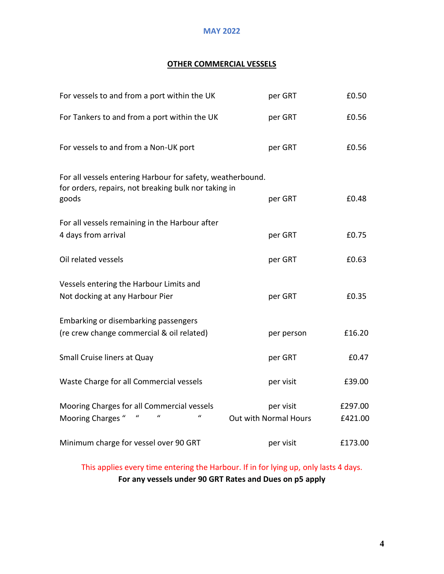# **OTHER COMMERCIAL VESSELS**

| For vessels to and from a port within the UK                                                                                | per GRT                            | £0.50              |
|-----------------------------------------------------------------------------------------------------------------------------|------------------------------------|--------------------|
| For Tankers to and from a port within the UK                                                                                | per GRT                            | £0.56              |
| For vessels to and from a Non-UK port                                                                                       | per GRT                            | £0.56              |
| For all vessels entering Harbour for safety, weatherbound.<br>for orders, repairs, not breaking bulk nor taking in<br>goods | per GRT                            | £0.48              |
| For all vessels remaining in the Harbour after<br>4 days from arrival                                                       | per GRT                            | £0.75              |
| Oil related vessels                                                                                                         | per GRT                            | £0.63              |
| Vessels entering the Harbour Limits and<br>Not docking at any Harbour Pier                                                  | per GRT                            | £0.35              |
| Embarking or disembarking passengers<br>(re crew change commercial & oil related)                                           | per person                         | £16.20             |
| Small Cruise liners at Quay                                                                                                 | per GRT                            | £0.47              |
| Waste Charge for all Commercial vessels                                                                                     | per visit                          | £39.00             |
| Mooring Charges for all Commercial vessels<br>Mooring Charges "                                                             | per visit<br>Out with Normal Hours | £297.00<br>£421.00 |
| Minimum charge for vessel over 90 GRT                                                                                       | per visit                          | £173.00            |

This applies every time entering the Harbour. If in for lying up, only lasts 4 days. **For any vessels under 90 GRT Rates and Dues on p5 apply**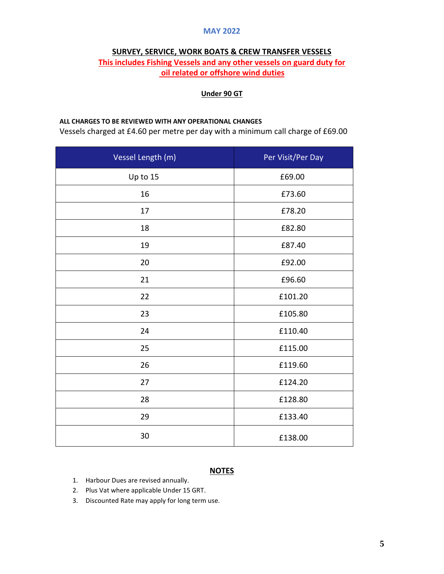#### **SURVEY, SERVICE, WORK BOATS & CREW TRANSFER VESSELS**

# **This includes Fishing Vessels and any other vessels on guard duty for oil related or offshore wind duties**

#### **Under 90 GT**

#### **ALL CHARGES TO BE REVIEWED WITH ANY OPERATIONAL CHANGES**

Vessels charged at £4.60 per metre per day with a minimum call charge of £69.00

| Vessel Length (m) | Per Visit/Per Day |
|-------------------|-------------------|
| Up to 15          | £69.00            |
| 16                | £73.60            |
| 17                | £78.20            |
| 18                | £82.80            |
| 19                | £87.40            |
| 20                | £92.00            |
| 21                | £96.60            |
| 22                | £101.20           |
| 23                | £105.80           |
| 24                | £110.40           |
| 25                | £115.00           |
| 26                | £119.60           |
| 27                | £124.20           |
| 28                | £128.80           |
| 29                | £133.40           |
| 30                | £138.00           |

#### **NOTES**

- 1. Harbour Dues are revised annually.
- 2. Plus Vat where applicable Under 15 GRT.
- 3. Discounted Rate may apply for long term use.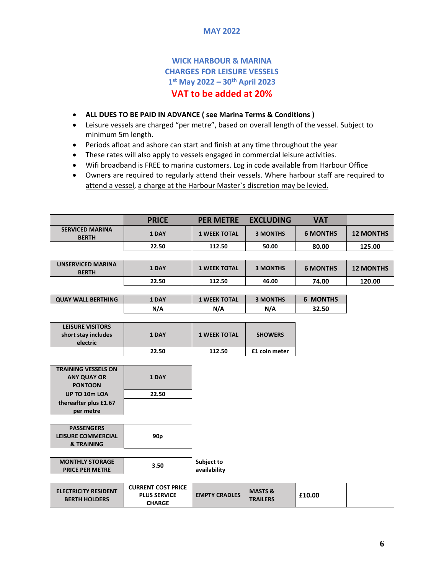# **WICK HARBOUR & MARINA CHARGES FOR LEISURE VESSELS 1 st May 2022 – 30 th April 2023 VAT to be added at 20%**

- **ALL DUES TO BE PAID IN ADVANCE ( see Marina Terms & Conditions )**
- Leisure vessels are charged "per metre", based on overall length of the vessel. Subject to minimum 5m length.
- Periods afloat and ashore can start and finish at any time throughout the year
- These rates will also apply to vessels engaged in commercial leisure activities.
- Wifi broadband is FREE to marina customers. Log in code available from Harbour Office
- Owner**s** are required to regularly attend their vessels. Where harbour staff are required to attend a vessel, a charge at the Harbour Master`s discretion may be levied.

|                                                            | <b>PRICE</b>                                                      | <b>PER METRE</b>           | <b>EXCLUDING</b>                      | <b>VAT</b>      |                  |
|------------------------------------------------------------|-------------------------------------------------------------------|----------------------------|---------------------------------------|-----------------|------------------|
| <b>SERVICED MARINA</b><br><b>BERTH</b>                     | 1 DAY                                                             | <b>1 WEEK TOTAL</b>        | <b>3 MONTHS</b>                       | <b>6 MONTHS</b> | <b>12 MONTHS</b> |
|                                                            | 22.50                                                             | 112.50                     | 50.00                                 | 80.00           | 125.00           |
|                                                            |                                                                   |                            |                                       |                 |                  |
| <b>UNSERVICED MARINA</b><br><b>BERTH</b>                   | 1 DAY                                                             | <b>1 WEEK TOTAL</b>        | <b>3 MONTHS</b>                       | <b>6 MONTHS</b> | <b>12 MONTHS</b> |
|                                                            | 22.50                                                             | 112.50                     | 46.00                                 | 74.00           | 120.00           |
|                                                            |                                                                   |                            |                                       |                 |                  |
| <b>QUAY WALL BERTHING</b>                                  | 1 DAY                                                             | <b>1 WEEK TOTAL</b>        | <b>3 MONTHS</b>                       | <b>6 MONTHS</b> |                  |
|                                                            | N/A                                                               | N/A                        | N/A                                   | 32.50           |                  |
|                                                            |                                                                   |                            |                                       |                 |                  |
| <b>LEISURE VISITORS</b><br>short stay includes<br>electric | 1 DAY                                                             | <b>1 WEEK TOTAL</b>        | <b>SHOWERS</b>                        |                 |                  |
|                                                            | 22.50                                                             | 112.50                     | £1 coin meter                         |                 |                  |
|                                                            |                                                                   |                            |                                       |                 |                  |
| <b>TRAINING VESSELS ON</b><br><b>ANY QUAY OR</b>           | 1 DAY                                                             |                            |                                       |                 |                  |
| <b>PONTOON</b>                                             |                                                                   |                            |                                       |                 |                  |
| UP TO 10m LOA                                              | 22.50                                                             |                            |                                       |                 |                  |
| thereafter plus £1.67                                      |                                                                   |                            |                                       |                 |                  |
| per metre                                                  |                                                                   |                            |                                       |                 |                  |
| <b>PASSENGERS</b>                                          |                                                                   |                            |                                       |                 |                  |
| <b>LEISURE COMMERCIAL</b>                                  | 90 <sub>p</sub>                                                   |                            |                                       |                 |                  |
| <b>&amp; TRAINING</b>                                      |                                                                   |                            |                                       |                 |                  |
|                                                            |                                                                   |                            |                                       |                 |                  |
| <b>MONTHLY STORAGE</b><br><b>PRICE PER METRE</b>           | 3.50                                                              | Subject to<br>availability |                                       |                 |                  |
|                                                            |                                                                   |                            |                                       |                 |                  |
| <b>ELECTRICITY RESIDENT</b><br><b>BERTH HOLDERS</b>        | <b>CURRENT COST PRICE</b><br><b>PLUS SERVICE</b><br><b>CHARGE</b> | <b>EMPTY CRADLES</b>       | <b>MASTS &amp;</b><br><b>TRAILERS</b> | £10.00          |                  |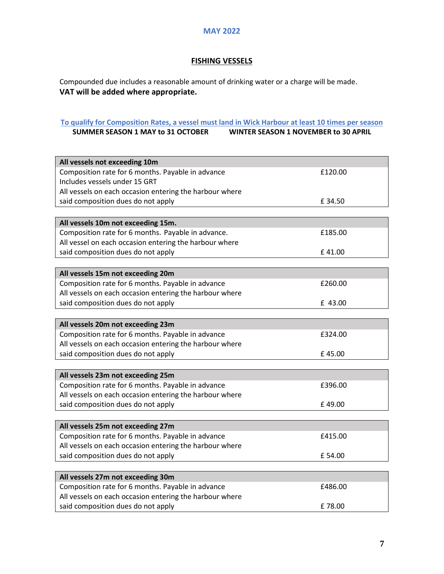# **FISHING VESSELS**

Compounded due includes a reasonable amount of drinking water or a charge will be made. **VAT will be added where appropriate.** 

#### **To qualify for Composition Rates, a vessel must land in Wick Harbour at least 10 times per season WINTER SEASON 1 NOVEMBER to 30 APRIL**

| All vessels not exceeding 10m                           |         |
|---------------------------------------------------------|---------|
| Composition rate for 6 months. Payable in advance       | £120.00 |
| Includes vessels under 15 GRT                           |         |
| All vessels on each occasion entering the harbour where |         |
| said composition dues do not apply                      | £34.50  |
|                                                         |         |
| All vessels 10m not exceeding 15m.                      |         |
| Composition rate for 6 months. Payable in advance.      | £185.00 |
| All vessel on each occasion entering the harbour where  |         |
| said composition dues do not apply                      | £41.00  |
|                                                         |         |
| All vessels 15m not exceeding 20m                       |         |
| Composition rate for 6 months. Payable in advance       | £260.00 |
| All vessels on each occasion entering the harbour where |         |
| said composition dues do not apply                      | £ 43.00 |
|                                                         |         |
| All vessels 20m not exceeding 23m                       |         |
| Composition rate for 6 months. Payable in advance       | £324.00 |
| All vessels on each occasion entering the harbour where |         |
| said composition dues do not apply                      | £45.00  |
|                                                         |         |
| All vessels 23m not exceeding 25m                       |         |
| Composition rate for 6 months. Payable in advance       | £396.00 |
| All vessels on each occasion entering the harbour where |         |
| said composition dues do not apply                      | £49.00  |
|                                                         |         |
| All vessels 25m not exceeding 27m                       |         |
| Composition rate for 6 months. Payable in advance       | £415.00 |
| All vessels on each occasion entering the harbour where |         |
| said composition dues do not apply                      | £54.00  |
|                                                         |         |
| All vessels 27m not exceeding 30m                       |         |
| Composition rate for 6 months. Payable in advance       | £486.00 |
| All vessels on each occasion entering the harbour where |         |
| said composition dues do not apply                      | £78.00  |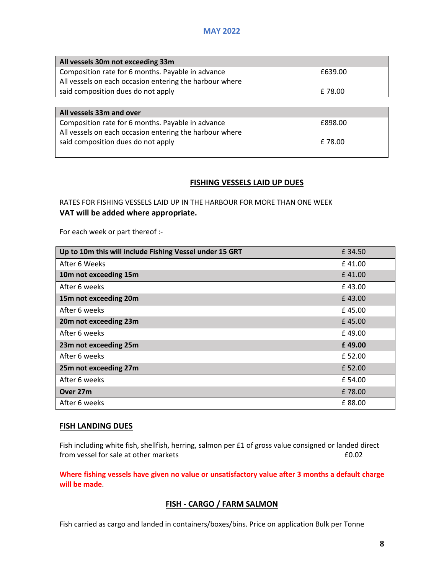| All vessels 30m not exceeding 33m                                                                            |         |
|--------------------------------------------------------------------------------------------------------------|---------|
| Composition rate for 6 months. Payable in advance                                                            | £639.00 |
| All vessels on each occasion entering the harbour where                                                      |         |
| said composition dues do not apply                                                                           | £78.00  |
|                                                                                                              |         |
|                                                                                                              |         |
| All vessels 33m and over                                                                                     |         |
| Composition rate for 6 months. Payable in advance<br>All vessels on each occasion entering the harbour where | £898.00 |

#### **FISHING VESSELS LAID UP DUES**

RATES FOR FISHING VESSELS LAID UP IN THE HARBOUR FOR MORE THAN ONE WEEK **VAT will be added where appropriate.** 

For each week or part thereof :-

| Up to 10m this will include Fishing Vessel under 15 GRT | £ 34.50 |
|---------------------------------------------------------|---------|
| After 6 Weeks                                           | £41.00  |
| 10m not exceeding 15m                                   | £41.00  |
| After 6 weeks                                           | £43.00  |
| 15m not exceeding 20m                                   | £43.00  |
| After 6 weeks                                           | £45.00  |
| 20m not exceeding 23m                                   | £45.00  |
| After 6 weeks                                           | £49.00  |
| 23m not exceeding 25m                                   | £49.00  |
| After 6 weeks                                           | £ 52.00 |
| 25m not exceeding 27m                                   | £ 52.00 |
| After 6 weeks                                           | £ 54.00 |
| Over 27m                                                | £78.00  |
| After 6 weeks                                           | £88.00  |

#### **FISH LANDING DUES**

Fish including white fish, shellfish, herring, salmon per £1 of gross value consigned or landed direct from vessel for sale at other markets **ED.02** 

**Where fishing vessels have given no value or unsatisfactory value after 3 months a default charge will be made**.

### **FISH - CARGO / FARM SALMON**

Fish carried as cargo and landed in containers/boxes/bins. Price on application Bulk per Tonne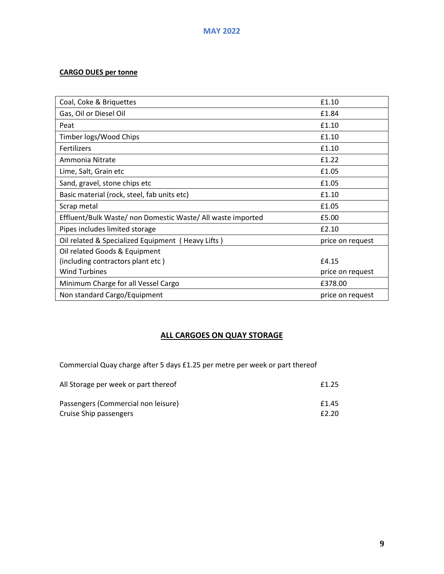# **CARGO DUES per tonne**

| Coal, Coke & Briquettes                                     | £1.10            |
|-------------------------------------------------------------|------------------|
| Gas, Oil or Diesel Oil                                      | £1.84            |
| Peat                                                        | £1.10            |
| Timber logs/Wood Chips                                      | £1.10            |
| <b>Fertilizers</b>                                          | £1.10            |
| Ammonia Nitrate                                             | £1.22            |
| Lime, Salt, Grain etc                                       | £1.05            |
| Sand, gravel, stone chips etc                               | £1.05            |
| Basic material (rock, steel, fab units etc)                 | £1.10            |
| Scrap metal                                                 | £1.05            |
| Effluent/Bulk Waste/ non Domestic Waste/ All waste imported | £5.00            |
| Pipes includes limited storage                              | £2.10            |
| Oil related & Specialized Equipment (Heavy Lifts)           | price on request |
| Oil related Goods & Equipment                               |                  |
| (including contractors plant etc)                           | £4.15            |
| <b>Wind Turbines</b>                                        | price on request |
| Minimum Charge for all Vessel Cargo                         | £378.00          |
| Non standard Cargo/Equipment                                | price on request |

# **ALL CARGOES ON QUAY STORAGE**

Commercial Quay charge after 5 days £1.25 per metre per week or part thereof

| All Storage per week or part thereof | £1.25 |
|--------------------------------------|-------|
| Passengers (Commercial non leisure)  | £1.45 |
| Cruise Ship passengers               | £2.20 |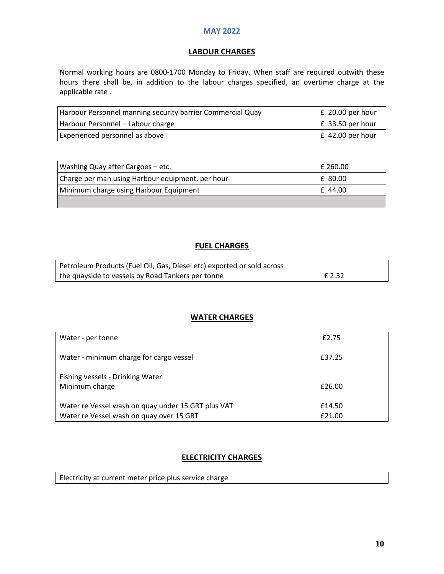#### **LABOUR CHARGES**

Normal working hours are 0800-1700 Monday to Friday. When staff are required outwith these hours there shall be, in addition to the labour charges specified, an overtime charge at the applicable rate .

| Harbour Personnel manning security barrier Commercial Quay | $£$ 20.00 per hour |
|------------------------------------------------------------|--------------------|
| Harbour Personnel - Labour charge                          | $£$ 33.50 per hour |
| Experienced personnel as above                             | $£$ 42.00 per hour |

| Washing Quay after Cargoes – etc.                | £ 260.00 |
|--------------------------------------------------|----------|
| Charge per man using Harbour equipment, per hour | £ 80.00  |
| Minimum charge using Harbour Equipment           | £44.00   |
|                                                  |          |

### **FUEL CHARGES**

| Petroleum Products (Fuel Oil, Gas, Diesel etc) exported or sold across |        |
|------------------------------------------------------------------------|--------|
| the quayside to vessels by Road Tankers per tonne                      | £ 2.32 |

#### **WATER CHARGES**

| Water - per tonne                                                                              | £2.75            |
|------------------------------------------------------------------------------------------------|------------------|
| Water - minimum charge for cargo vessel                                                        | £37.25           |
| Fishing vessels - Drinking Water<br>Minimum charge                                             | £26.00           |
| Water re Vessel wash on quay under 15 GRT plus VAT<br>Water re Vessel wash on quay over 15 GRT | £14.50<br>£21.00 |

### **ELECTRICITY CHARGES**

Electricity at current meter price plus service charge